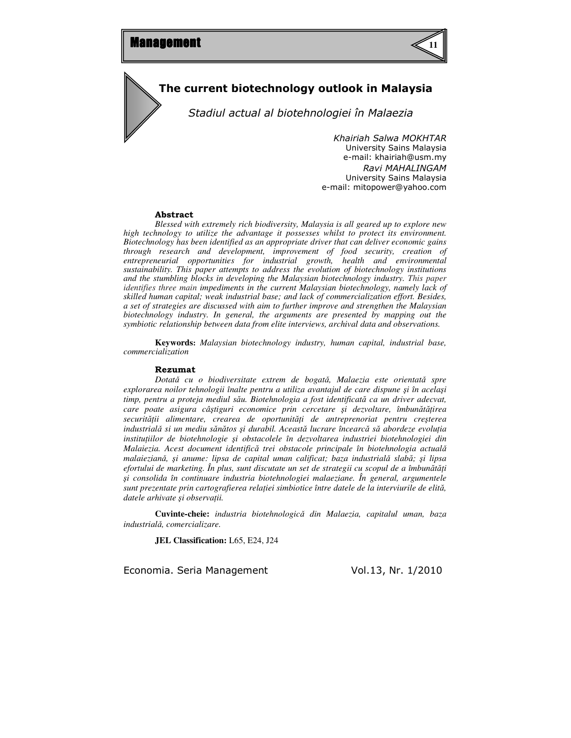

# The current biotechnology outlook in Malaysia

Stadiul actual al biotehnologiei în Malaezia

Khairiah Salwa MOKHTAR University Sains Malaysia e-mail: khairiah@usm.my Ravi MAHALINGAM University Sains Malaysia e-mail: mitopower@yahoo.com

#### Abstract

*Blessed with extremely rich biodiversity, Malaysia is all geared up to explore new high technology to utilize the advantage it possesses whilst to protect its environment. Biotechnology has been identified as an appropriate driver that can deliver economic gains through research and development, improvement of food security, creation of entrepreneurial opportunities for industrial growth, health and environmental sustainability. This paper attempts to address the evolution of biotechnology institutions and the stumbling blocks in developing the Malaysian biotechnology industry. This paper identifies three main impediments in the current Malaysian biotechnology, namely lack of skilled human capital; weak industrial base; and lack of commercialization effort. Besides, a set of strategies are discussed with aim to further improve and strengthen the Malaysian biotechnology industry. In general, the arguments are presented by mapping out the symbiotic relationship between data from elite interviews, archival data and observations.* 

**Keywords:** *Malaysian biotechnology industry, human capital, industrial base, commercialization*

#### Rezumat

*Dotat*ǎ *cu o biodiversitate extrem de bogat*ǎ*, Malaezia este orientat*ǎ *spre explorarea noilor tehnologii înalte pentru a utiliza avantajul de care dispune* ş*i în acela*ş*i timp, pentru a proteja mediul s*ă*u. Biotehnologia a fost identificat*ă *ca un driver adecvat, care poate asigura câ*ş*tiguri economice prin cercetare* ş*i dezvoltare, îmbun*ă*t*ăţ*irea securit*ăţ*ii alimentare, crearea de oportunit*ăţ*i de antreprenoriat pentru cre*ş*terea industrial*ǎ *si un mediu s*ă*n*ă*tos* ş*i durabil. Aceast*ă *lucrare încearc*ă *s*ă *abordeze evolu*ţ*ia institu*ţ*iilor de biotehnologie* ş*i obstacolele în dezvoltarea industriei biotehnologiei din Malaiezia. Acest document identific*ă *trei obstacole principale în biotehnologia actual*ǎ *malaiezian*ǎ*,* ş*i anume: lipsa de capital uman calificat; baza industrial*ǎ *slab*ă*;* ş*i lipsa efortului de marketing. În plus, sunt discutate un set de strategii cu scopul de a îmbun*ă*t*ăţ*i*  ş*i consolida în continuare industria biotehnologiei malaeziane. În general, argumentele sunt prezentate prin cartografierea rela*ţ*iei simbiotice între datele de la interviurile de elit*ă*, datele arhivate* ş*i observa*ţ*ii.* 

**Cuvinte-cheie:** *industria biotehnologic*ǎ *din Malaezia, capitalul uman, baza industrial*ǎ*, comercializare.* 

**JEL Classification:** L65, E24, J24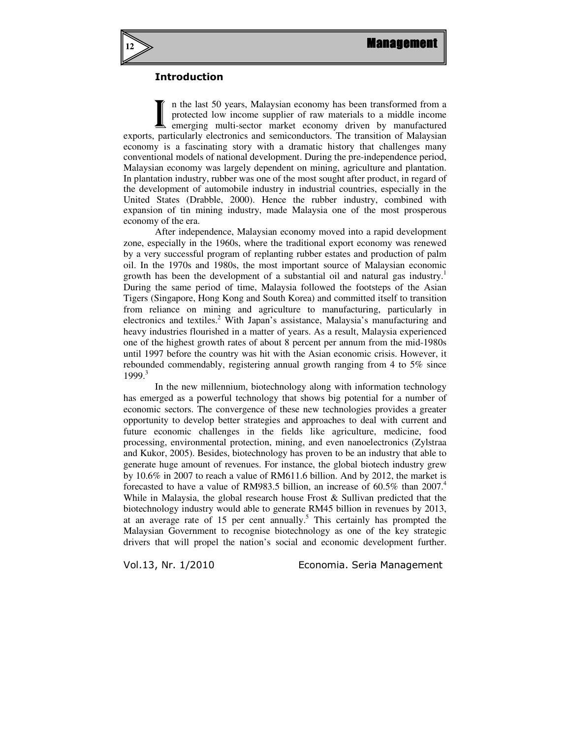

## Introduction

n the last 50 years, Malaysian economy has been transformed from a protected low income supplier of raw materials to a middle income emerging multi-sector market economy driven by manufactured exports, particularly electronics and semiconductors. The transition of Malaysian economy is a fascinating story with a dramatic history that challenges many conventional models of national development. During the pre-independence period, Malaysian economy was largely dependent on mining, agriculture and plantation. In plantation industry, rubber was one of the most sought after product, in regard of the development of automobile industry in industrial countries, especially in the United States (Drabble, 2000). Hence the rubber industry, combined with expansion of tin mining industry, made Malaysia one of the most prosperous economy of the era. I

 After independence, Malaysian economy moved into a rapid development zone, especially in the 1960s, where the traditional export economy was renewed by a very successful program of replanting rubber estates and production of palm oil. In the 1970s and 1980s, the most important source of Malaysian economic growth has been the development of a substantial oil and natural gas industry.<sup>1</sup> During the same period of time, Malaysia followed the footsteps of the Asian Tigers (Singapore, Hong Kong and South Korea) and committed itself to transition from reliance on mining and agriculture to manufacturing, particularly in electronics and textiles.<sup>2</sup> With Japan's assistance, Malaysia's manufacturing and heavy industries flourished in a matter of years. As a result, Malaysia experienced one of the highest growth rates of about 8 percent per annum from the mid-1980s until 1997 before the country was hit with the Asian economic crisis. However, it rebounded commendably, registering annual growth ranging from 4 to 5% since 1999.<sup>3</sup>

In the new millennium, biotechnology along with information technology has emerged as a powerful technology that shows big potential for a number of economic sectors. The convergence of these new technologies provides a greater opportunity to develop better strategies and approaches to deal with current and future economic challenges in the fields like agriculture, medicine, food processing, environmental protection, mining, and even nanoelectronics (Zylstraa and Kukor, 2005). Besides, biotechnology has proven to be an industry that able to generate huge amount of revenues. For instance, the global biotech industry grew by 10.6% in 2007 to reach a value of RM611.6 billion. And by 2012, the market is forecasted to have a value of RM983.5 billion, an increase of  $60.5\%$  than 2007.<sup>4</sup> While in Malaysia, the global research house Frost & Sullivan predicted that the biotechnology industry would able to generate RM45 billion in revenues by 2013, at an average rate of 15 per cent annually.<sup>5</sup> This certainly has prompted the Malaysian Government to recognise biotechnology as one of the key strategic drivers that will propel the nation's social and economic development further.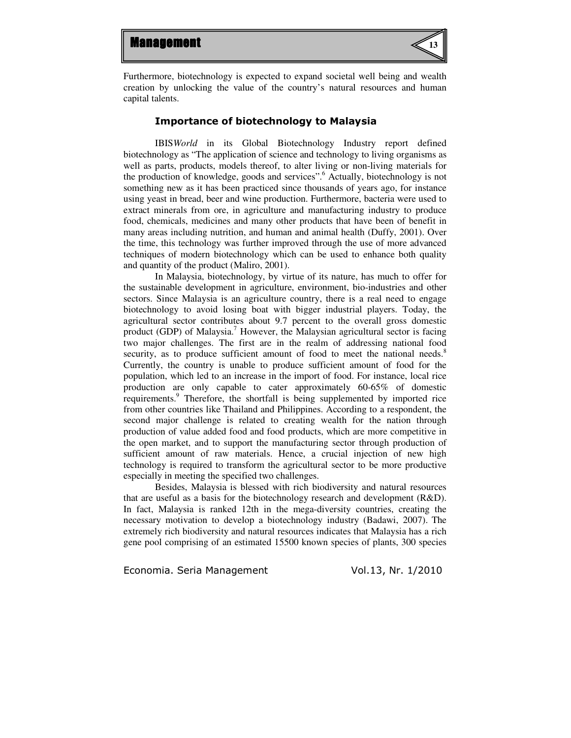

Furthermore, biotechnology is expected to expand societal well being and wealth creation by unlocking the value of the country's natural resources and human capital talents.

### Importance of biotechnology to Malaysia

IBIS*World* in its Global Biotechnology Industry report defined biotechnology as "The application of science and technology to living organisms as well as parts, products, models thereof, to alter living or non-living materials for the production of knowledge, goods and services".<sup>6</sup> Actually, biotechnology is not something new as it has been practiced since thousands of years ago, for instance using yeast in bread, beer and wine production. Furthermore, bacteria were used to extract minerals from ore, in agriculture and manufacturing industry to produce food, chemicals, medicines and many other products that have been of benefit in many areas including nutrition, and human and animal health (Duffy, 2001). Over the time, this technology was further improved through the use of more advanced techniques of modern biotechnology which can be used to enhance both quality and quantity of the product (Maliro, 2001).

In Malaysia, biotechnology, by virtue of its nature, has much to offer for the sustainable development in agriculture, environment, bio-industries and other sectors. Since Malaysia is an agriculture country, there is a real need to engage biotechnology to avoid losing boat with bigger industrial players. Today, the agricultural sector contributes about 9.7 percent to the overall gross domestic product (GDP) of Malaysia.<sup>7</sup> However, the Malaysian agricultural sector is facing two major challenges. The first are in the realm of addressing national food security, as to produce sufficient amount of food to meet the national needs.<sup>8</sup> Currently, the country is unable to produce sufficient amount of food for the population, which led to an increase in the import of food. For instance, local rice production are only capable to cater approximately 60-65% of domestic requirements.<sup>9</sup> Therefore, the shortfall is being supplemented by imported rice from other countries like Thailand and Philippines. According to a respondent, the second major challenge is related to creating wealth for the nation through production of value added food and food products, which are more competitive in the open market, and to support the manufacturing sector through production of sufficient amount of raw materials. Hence, a crucial injection of new high technology is required to transform the agricultural sector to be more productive especially in meeting the specified two challenges.

Besides, Malaysia is blessed with rich biodiversity and natural resources that are useful as a basis for the biotechnology research and development  $(R&D)$ . In fact, Malaysia is ranked 12th in the mega-diversity countries, creating the necessary motivation to develop a biotechnology industry (Badawi, 2007). The extremely rich biodiversity and natural resources indicates that Malaysia has a rich gene pool comprising of an estimated 15500 known species of plants, 300 species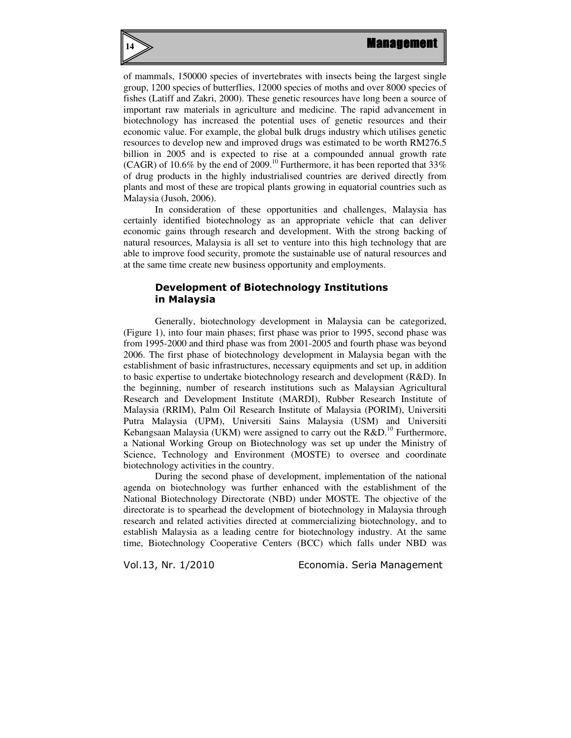

of mammals, 150000 species of invertebrates with insects being the largest single group, 1200 species of butterflies, 12000 species of moths and over 8000 species of fishes (Latiff and Zakri, 2000). These genetic resources have long been a source of important raw materials in agriculture and medicine. The rapid advancement in biotechnology has increased the potential uses of genetic resources and their economic value. For example, the global bulk drugs industry which utilises genetic resources to develop new and improved drugs was estimated to be worth RM276.5 billion in 2005 and is expected to rise at a compounded annual growth rate (CAGR) of 10.6% by the end of 2009.<sup>10</sup> Furthermore, it has been reported that  $33\%$ of drug products in the highly industrialised countries are derived directly from plants and most of these are tropical plants growing in equatorial countries such as Malaysia (Jusoh, 2006).

In consideration of these opportunities and challenges, Malaysia has certainly identified biotechnology as an appropriate vehicle that can deliver economic gains through research and development. With the strong backing of natural resources, Malaysia is all set to venture into this high technology that are able to improve food security, promote the sustainable use of natural resources and at the same time create new business opportunity and employments.

## Development of Biotechnology Institutions in Malaysia

Generally, biotechnology development in Malaysia can be categorized, (Figure 1), into four main phases; first phase was prior to 1995, second phase was from 1995-2000 and third phase was from 2001-2005 and fourth phase was beyond 2006. The first phase of biotechnology development in Malaysia began with the establishment of basic infrastructures, necessary equipments and set up, in addition to basic expertise to undertake biotechnology research and development (R&D). In the beginning, number of research institutions such as Malaysian Agricultural Research and Development Institute (MARDI), Rubber Research Institute of Malaysia (RRIM), Palm Oil Research Institute of Malaysia (PORIM), Universiti Putra Malaysia (UPM), Universiti Sains Malaysia (USM) and Universiti Kebangsaan Malaysia (UKM) were assigned to carry out the  $R&D.<sup>10</sup>$  Furthermore, a National Working Group on Biotechnology was set up under the Ministry of Science, Technology and Environment (MOSTE) to oversee and coordinate biotechnology activities in the country.

During the second phase of development, implementation of the national agenda on biotechnology was further enhanced with the establishment of the National Biotechnology Directorate (NBD) under MOSTE. The objective of the directorate is to spearhead the development of biotechnology in Malaysia through research and related activities directed at commercializing biotechnology, and to establish Malaysia as a leading centre for biotechnology industry. At the same time, Biotechnology Cooperative Centers (BCC) which falls under NBD was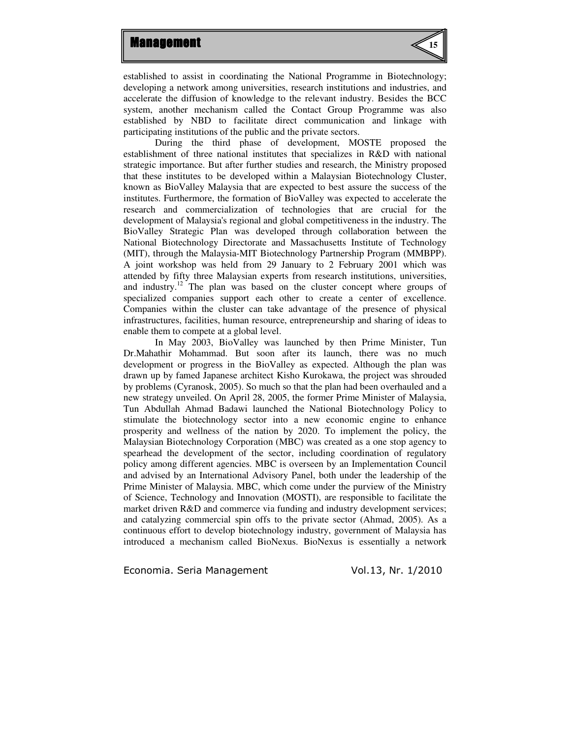

established to assist in coordinating the National Programme in Biotechnology; developing a network among universities, research institutions and industries, and accelerate the diffusion of knowledge to the relevant industry. Besides the BCC system, another mechanism called the Contact Group Programme was also established by NBD to facilitate direct communication and linkage with participating institutions of the public and the private sectors.

During the third phase of development, MOSTE proposed the establishment of three national institutes that specializes in R&D with national strategic importance. But after further studies and research, the Ministry proposed that these institutes to be developed within a Malaysian Biotechnology Cluster, known as BioValley Malaysia that are expected to best assure the success of the institutes. Furthermore, the formation of BioValley was expected to accelerate the research and commercialization of technologies that are crucial for the development of Malaysia's regional and global competitiveness in the industry. The BioValley Strategic Plan was developed through collaboration between the National Biotechnology Directorate and Massachusetts Institute of Technology (MIT), through the Malaysia-MIT Biotechnology Partnership Program (MMBPP). A joint workshop was held from 29 January to 2 February 2001 which was attended by fifty three Malaysian experts from research institutions, universities, and industry.<sup>12</sup> The plan was based on the cluster concept where groups of specialized companies support each other to create a center of excellence. Companies within the cluster can take advantage of the presence of physical infrastructures, facilities, human resource, entrepreneurship and sharing of ideas to enable them to compete at a global level.

In May 2003, BioValley was launched by then Prime Minister, Tun Dr.Mahathir Mohammad. But soon after its launch, there was no much development or progress in the BioValley as expected. Although the plan was drawn up by famed Japanese architect Kisho Kurokawa, the project was shrouded by problems (Cyranosk, 2005). So much so that the plan had been overhauled and a new strategy unveiled. On April 28, 2005, the former Prime Minister of Malaysia, Tun Abdullah Ahmad Badawi launched the National Biotechnology Policy to stimulate the biotechnology sector into a new economic engine to enhance prosperity and wellness of the nation by 2020. To implement the policy, the Malaysian Biotechnology Corporation (MBC) was created as a one stop agency to spearhead the development of the sector, including coordination of regulatory policy among different agencies. MBC is overseen by an Implementation Council and advised by an International Advisory Panel, both under the leadership of the Prime Minister of Malaysia. MBC, which come under the purview of the Ministry of Science, Technology and Innovation (MOSTI), are responsible to facilitate the market driven R&D and commerce via funding and industry development services; and catalyzing commercial spin offs to the private sector (Ahmad, 2005). As a continuous effort to develop biotechnology industry, government of Malaysia has introduced a mechanism called BioNexus. BioNexus is essentially a network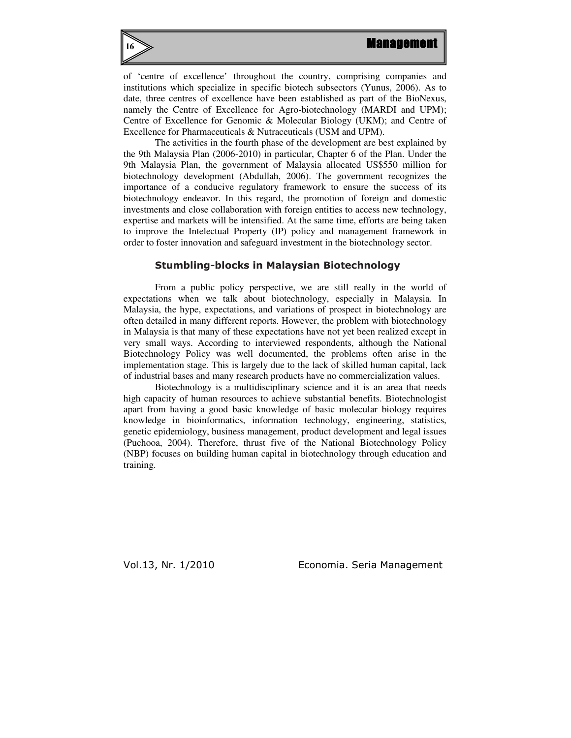

**16**

of 'centre of excellence' throughout the country, comprising companies and institutions which specialize in specific biotech subsectors (Yunus, 2006). As to date, three centres of excellence have been established as part of the BioNexus, namely the Centre of Excellence for Agro-biotechnology (MARDI and UPM); Centre of Excellence for Genomic & Molecular Biology (UKM); and Centre of Excellence for Pharmaceuticals & Nutraceuticals (USM and UPM).

The activities in the fourth phase of the development are best explained by the 9th Malaysia Plan (2006-2010) in particular, Chapter 6 of the Plan. Under the 9th Malaysia Plan, the government of Malaysia allocated US\$550 million for biotechnology development (Abdullah, 2006). The government recognizes the importance of a conducive regulatory framework to ensure the success of its biotechnology endeavor. In this regard, the promotion of foreign and domestic investments and close collaboration with foreign entities to access new technology, expertise and markets will be intensified. At the same time, efforts are being taken to improve the Intelectual Property (IP) policy and management framework in order to foster innovation and safeguard investment in the biotechnology sector.

## Stumbling-blocks in Malaysian Biotechnology

From a public policy perspective, we are still really in the world of expectations when we talk about biotechnology, especially in Malaysia. In Malaysia, the hype, expectations, and variations of prospect in biotechnology are often detailed in many different reports. However, the problem with biotechnology in Malaysia is that many of these expectations have not yet been realized except in very small ways. According to interviewed respondents, although the National Biotechnology Policy was well documented, the problems often arise in the implementation stage. This is largely due to the lack of skilled human capital, lack of industrial bases and many research products have no commercialization values.

Biotechnology is a multidisciplinary science and it is an area that needs high capacity of human resources to achieve substantial benefits. Biotechnologist apart from having a good basic knowledge of basic molecular biology requires knowledge in bioinformatics, information technology, engineering, statistics, genetic epidemiology, business management, product development and legal issues (Puchooa, 2004). Therefore, thrust five of the National Biotechnology Policy (NBP) focuses on building human capital in biotechnology through education and training.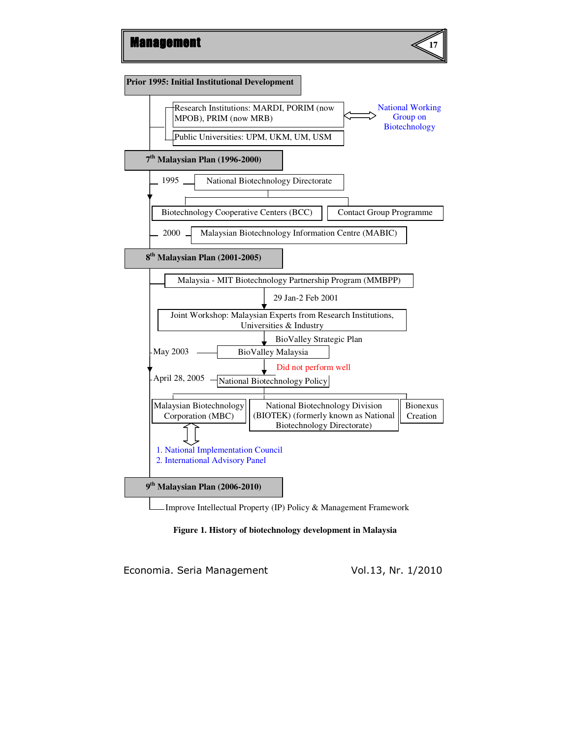



Improve Intellectual Property (IP) Policy & Management Framework



Economia. Seria Management Vol.13, Nr. 1/2010

**17**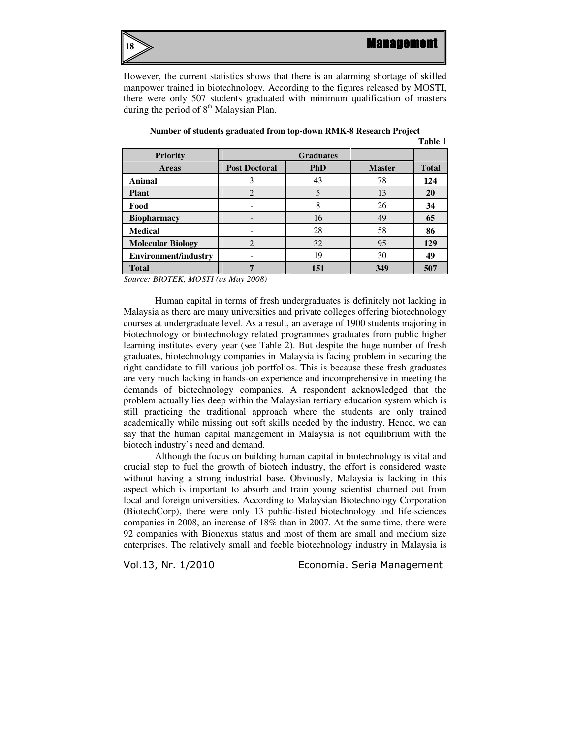

However, the current statistics shows that there is an alarming shortage of skilled manpower trained in biotechnology. According to the figures released by MOSTI, there were only 507 students graduated with minimum qualification of masters during the period of  $8<sup>th</sup>$  Malaysian Plan.

|                                     |                             |            |               | таше т       |
|-------------------------------------|-----------------------------|------------|---------------|--------------|
| <b>Priority</b>                     | <b>Graduates</b>            |            |               |              |
| <b>Areas</b>                        | <b>Post Doctoral</b>        | <b>PhD</b> | <b>Master</b> | <b>Total</b> |
| <b>Animal</b>                       | 3                           | 43         | 78            | 124          |
| <b>Plant</b>                        | 2                           | 5          | 13            | 20           |
| Food                                |                             | 8          | 26            | 34           |
| <b>Biopharmacy</b>                  |                             | 16         | 49            | 65           |
| <b>Medical</b>                      |                             | 28         | 58            | 86           |
| <b>Molecular Biology</b>            | $\mathcal{D}_{\mathcal{L}}$ | 32         | 95            | 129          |
| <b>Environment/industry</b>         |                             | 19         | 30            | 49           |
| <b>Total</b>                        |                             | 151        | 349           | 507          |
| $C_{2}$ $DIQTEV$ $MQSTI$ $(1.100T)$ |                             |            |               |              |

**Number of students graduated from top-down RMK-8 Research Project Table 1** 

*Source: BIOTEK, MOSTI (as May 2008)* 

Human capital in terms of fresh undergraduates is definitely not lacking in Malaysia as there are many universities and private colleges offering biotechnology courses at undergraduate level. As a result, an average of 1900 students majoring in biotechnology or biotechnology related programmes graduates from public higher learning institutes every year (see Table 2). But despite the huge number of fresh graduates, biotechnology companies in Malaysia is facing problem in securing the right candidate to fill various job portfolios. This is because these fresh graduates are very much lacking in hands-on experience and incomprehensive in meeting the demands of biotechnology companies. A respondent acknowledged that the problem actually lies deep within the Malaysian tertiary education system which is still practicing the traditional approach where the students are only trained academically while missing out soft skills needed by the industry. Hence, we can say that the human capital management in Malaysia is not equilibrium with the biotech industry's need and demand.

Although the focus on building human capital in biotechnology is vital and crucial step to fuel the growth of biotech industry, the effort is considered waste without having a strong industrial base. Obviously, Malaysia is lacking in this aspect which is important to absorb and train young scientist churned out from local and foreign universities. According to Malaysian Biotechnology Corporation (BiotechCorp), there were only 13 public-listed biotechnology and life-sciences companies in 2008, an increase of 18% than in 2007. At the same time, there were 92 companies with Bionexus status and most of them are small and medium size enterprises. The relatively small and feeble biotechnology industry in Malaysia is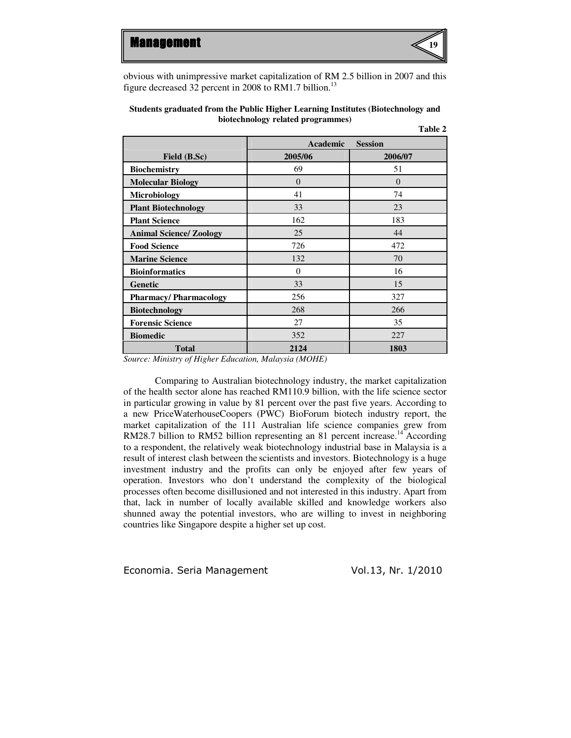

obvious with unimpressive market capitalization of RM 2.5 billion in 2007 and this figure decreased 32 percent in 2008 to RM1.7 billion.<sup>13</sup>

| Students graduated from the Public Higher Learning Institutes (Biotechnology and |  |  |  |  |
|----------------------------------------------------------------------------------|--|--|--|--|
| biotechnology related programmes)                                                |  |  |  |  |
| T11A                                                                             |  |  |  |  |

|                                      |                | 1 adie 2       |
|--------------------------------------|----------------|----------------|
|                                      | Academic       | <b>Session</b> |
| Field (B.Sc)                         | 2005/06        | 2006/07        |
| <b>Biochemistry</b>                  | 69             | 51             |
| <b>Molecular Biology</b>             | $\overline{0}$ | $\theta$       |
| <b>Microbiology</b>                  | 41             | 74             |
| <b>Plant Biotechnology</b>           | 33             | 23             |
| <b>Plant Science</b>                 | 162            | 183            |
| <b>Animal Science/ Zoology</b>       | 25             | 44             |
| <b>Food Science</b>                  | 726            | 472            |
| <b>Marine Science</b>                | 132            | 70             |
| <b>Bioinformatics</b>                | $\Omega$       | 16             |
| <b>Genetic</b>                       | 33             | 15             |
| <b>Pharmacy/Pharmacology</b>         | 256            | 327            |
| <b>Biotechnology</b>                 | 268            | 266            |
| <b>Forensic Science</b>              | 27             | 35             |
| <b>Biomedic</b>                      | 352            | 227            |
| <b>Total</b><br>--- -<br>.<br>$   -$ | 2124<br>.      | 1803           |

*Source: Ministry of Higher Education, Malaysia (MOHE)* 

Comparing to Australian biotechnology industry, the market capitalization of the health sector alone has reached RM110.9 billion, with the life science sector in particular growing in value by 81 percent over the past five years. According to a new PriceWaterhouseCoopers (PWC) BioForum biotech industry report, the market capitalization of the 111 Australian life science companies grew from RM28.7 billion to RM52 billion representing an 81 percent increase.<sup>14</sup> According to a respondent, the relatively weak biotechnology industrial base in Malaysia is a result of interest clash between the scientists and investors. Biotechnology is a huge investment industry and the profits can only be enjoyed after few years of operation. Investors who don't understand the complexity of the biological processes often become disillusioned and not interested in this industry. Apart from that, lack in number of locally available skilled and knowledge workers also shunned away the potential investors, who are willing to invest in neighboring countries like Singapore despite a higher set up cost.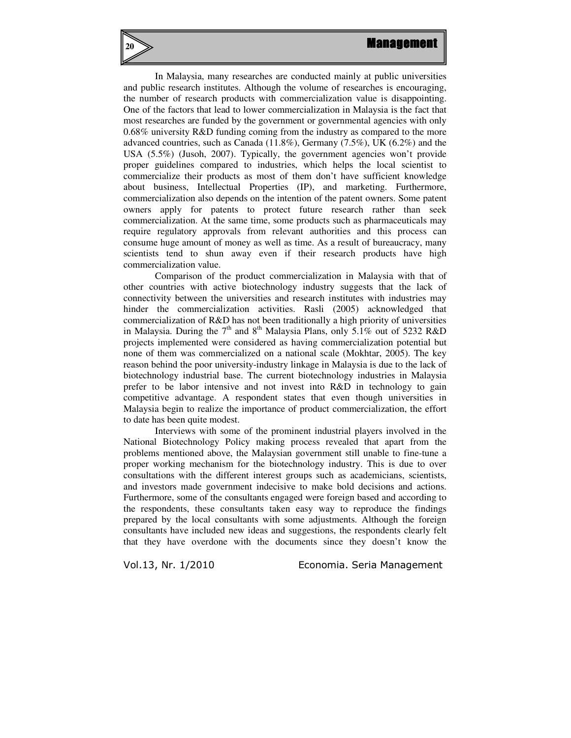In Malaysia, many researches are conducted mainly at public universities and public research institutes. Although the volume of researches is encouraging, the number of research products with commercialization value is disappointing. One of the factors that lead to lower commercialization in Malaysia is the fact that most researches are funded by the government or governmental agencies with only 0.68% university R&D funding coming from the industry as compared to the more advanced countries, such as Canada (11.8%), Germany (7.5%), UK (6.2%) and the USA (5.5%) (Jusoh, 2007). Typically, the government agencies won't provide proper guidelines compared to industries, which helps the local scientist to commercialize their products as most of them don't have sufficient knowledge about business, Intellectual Properties (IP), and marketing. Furthermore, commercialization also depends on the intention of the patent owners. Some patent owners apply for patents to protect future research rather than seek commercialization. At the same time, some products such as pharmaceuticals may require regulatory approvals from relevant authorities and this process can consume huge amount of money as well as time. As a result of bureaucracy, many scientists tend to shun away even if their research products have high commercialization value.

Comparison of the product commercialization in Malaysia with that of other countries with active biotechnology industry suggests that the lack of connectivity between the universities and research institutes with industries may hinder the commercialization activities. Rasli (2005) acknowledged that commercialization of R&D has not been traditionally a high priority of universities in Malaysia. During the  $7<sup>th</sup>$  and  $8<sup>th</sup>$  Malaysia Plans, only 5.1% out of 5232 R&D projects implemented were considered as having commercialization potential but none of them was commercialized on a national scale (Mokhtar, 2005). The key reason behind the poor university-industry linkage in Malaysia is due to the lack of biotechnology industrial base. The current biotechnology industries in Malaysia prefer to be labor intensive and not invest into R&D in technology to gain competitive advantage. A respondent states that even though universities in Malaysia begin to realize the importance of product commercialization, the effort to date has been quite modest.

Interviews with some of the prominent industrial players involved in the National Biotechnology Policy making process revealed that apart from the problems mentioned above, the Malaysian government still unable to fine-tune a proper working mechanism for the biotechnology industry. This is due to over consultations with the different interest groups such as academicians, scientists, and investors made government indecisive to make bold decisions and actions. Furthermore, some of the consultants engaged were foreign based and according to the respondents, these consultants taken easy way to reproduce the findings prepared by the local consultants with some adjustments. Although the foreign consultants have included new ideas and suggestions, the respondents clearly felt that they have overdone with the documents since they doesn't know the

**20**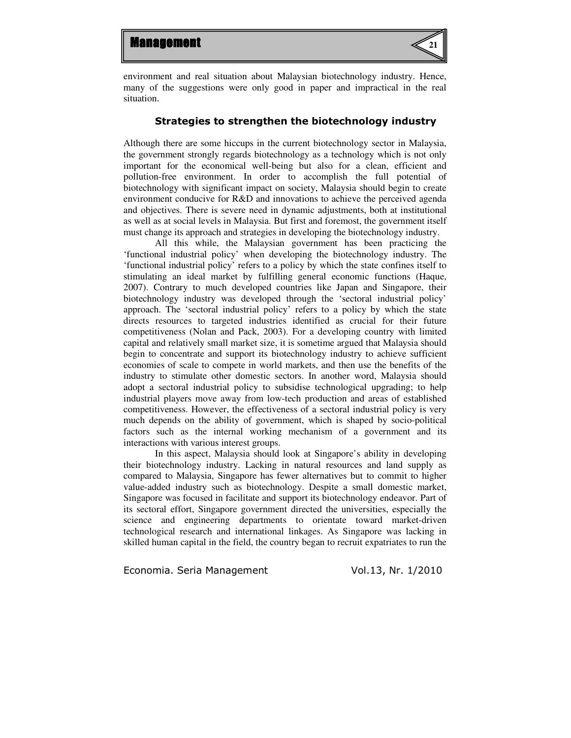

environment and real situation about Malaysian biotechnology industry. Hence, many of the suggestions were only good in paper and impractical in the real situation.

### Strategies to strengthen the biotechnology industry

Although there are some hiccups in the current biotechnology sector in Malaysia, the government strongly regards biotechnology as a technology which is not only important for the economical well-being but also for a clean, efficient and pollution-free environment. In order to accomplish the full potential of biotechnology with significant impact on society, Malaysia should begin to create environment conducive for R&D and innovations to achieve the perceived agenda and objectives. There is severe need in dynamic adjustments, both at institutional as well as at social levels in Malaysia. But first and foremost, the government itself must change its approach and strategies in developing the biotechnology industry.

All this while, the Malaysian government has been practicing the 'functional industrial policy' when developing the biotechnology industry. The 'functional industrial policy' refers to a policy by which the state confines itself to stimulating an ideal market by fulfilling general economic functions (Haque, 2007). Contrary to much developed countries like Japan and Singapore, their biotechnology industry was developed through the 'sectoral industrial policy' approach. The 'sectoral industrial policy' refers to a policy by which the state directs resources to targeted industries identified as crucial for their future competitiveness (Nolan and Pack, 2003). For a developing country with limited capital and relatively small market size, it is sometime argued that Malaysia should begin to concentrate and support its biotechnology industry to achieve sufficient economies of scale to compete in world markets, and then use the benefits of the industry to stimulate other domestic sectors. In another word, Malaysia should adopt a sectoral industrial policy to subsidise technological upgrading; to help industrial players move away from low-tech production and areas of established competitiveness. However, the effectiveness of a sectoral industrial policy is very much depends on the ability of government, which is shaped by socio-political factors such as the internal working mechanism of a government and its interactions with various interest groups.

In this aspect, Malaysia should look at Singapore's ability in developing their biotechnology industry. Lacking in natural resources and land supply as compared to Malaysia, Singapore has fewer alternatives but to commit to higher value-added industry such as biotechnology. Despite a small domestic market, Singapore was focused in facilitate and support its biotechnology endeavor. Part of its sectoral effort, Singapore government directed the universities, especially the science and engineering departments to orientate toward market-driven technological research and international linkages. As Singapore was lacking in skilled human capital in the field, the country began to recruit expatriates to run the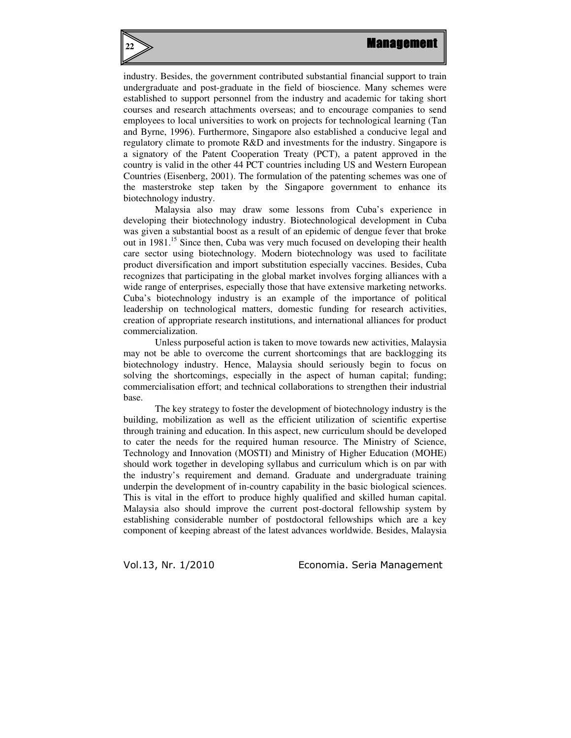

industry. Besides, the government contributed substantial financial support to train undergraduate and post-graduate in the field of bioscience. Many schemes were established to support personnel from the industry and academic for taking short courses and research attachments overseas; and to encourage companies to send employees to local universities to work on projects for technological learning (Tan and Byrne, 1996). Furthermore, Singapore also established a conducive legal and regulatory climate to promote R&D and investments for the industry. Singapore is a signatory of the Patent Cooperation Treaty (PCT), a patent approved in the country is valid in the other 44 PCT countries including US and Western European Countries (Eisenberg, 2001). The formulation of the patenting schemes was one of the masterstroke step taken by the Singapore government to enhance its biotechnology industry.

Malaysia also may draw some lessons from Cuba's experience in developing their biotechnology industry. Biotechnological development in Cuba was given a substantial boost as a result of an epidemic of dengue fever that broke out in 1981.<sup>15</sup> Since then, Cuba was very much focused on developing their health care sector using biotechnology. Modern biotechnology was used to facilitate product diversification and import substitution especially vaccines. Besides, Cuba recognizes that participating in the global market involves forging alliances with a wide range of enterprises, especially those that have extensive marketing networks. Cuba's biotechnology industry is an example of the importance of political leadership on technological matters, domestic funding for research activities, creation of appropriate research institutions, and international alliances for product commercialization.

Unless purposeful action is taken to move towards new activities, Malaysia may not be able to overcome the current shortcomings that are backlogging its biotechnology industry. Hence, Malaysia should seriously begin to focus on solving the shortcomings, especially in the aspect of human capital; funding; commercialisation effort; and technical collaborations to strengthen their industrial base.

The key strategy to foster the development of biotechnology industry is the building, mobilization as well as the efficient utilization of scientific expertise through training and education. In this aspect, new curriculum should be developed to cater the needs for the required human resource. The Ministry of Science, Technology and Innovation (MOSTI) and Ministry of Higher Education (MOHE) should work together in developing syllabus and curriculum which is on par with the industry's requirement and demand. Graduate and undergraduate training underpin the development of in-country capability in the basic biological sciences. This is vital in the effort to produce highly qualified and skilled human capital. Malaysia also should improve the current post-doctoral fellowship system by establishing considerable number of postdoctoral fellowships which are a key component of keeping abreast of the latest advances worldwide. Besides, Malaysia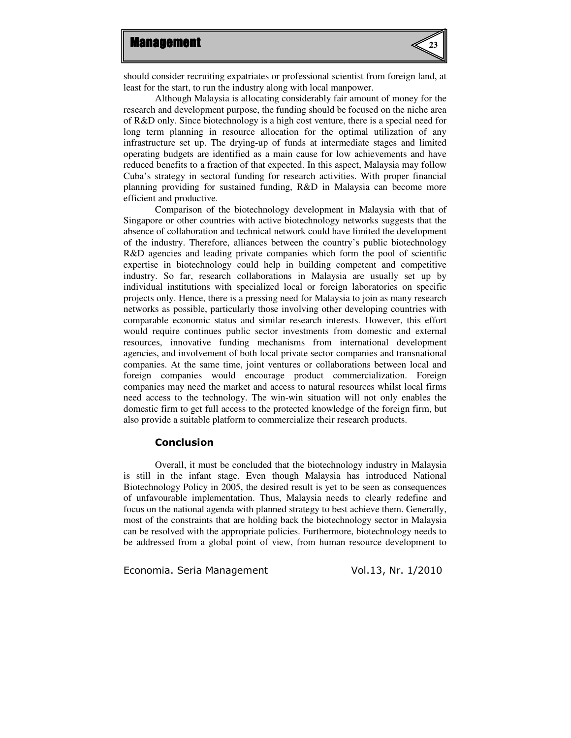

should consider recruiting expatriates or professional scientist from foreign land, at least for the start, to run the industry along with local manpower.

Although Malaysia is allocating considerably fair amount of money for the research and development purpose, the funding should be focused on the niche area of R&D only. Since biotechnology is a high cost venture, there is a special need for long term planning in resource allocation for the optimal utilization of any infrastructure set up. The drying-up of funds at intermediate stages and limited operating budgets are identified as a main cause for low achievements and have reduced benefits to a fraction of that expected. In this aspect, Malaysia may follow Cuba's strategy in sectoral funding for research activities. With proper financial planning providing for sustained funding, R&D in Malaysia can become more efficient and productive.

Comparison of the biotechnology development in Malaysia with that of Singapore or other countries with active biotechnology networks suggests that the absence of collaboration and technical network could have limited the development of the industry. Therefore, alliances between the country's public biotechnology R&D agencies and leading private companies which form the pool of scientific expertise in biotechnology could help in building competent and competitive industry. So far, research collaborations in Malaysia are usually set up by individual institutions with specialized local or foreign laboratories on specific projects only. Hence, there is a pressing need for Malaysia to join as many research networks as possible, particularly those involving other developing countries with comparable economic status and similar research interests. However, this effort would require continues public sector investments from domestic and external resources, innovative funding mechanisms from international development agencies, and involvement of both local private sector companies and transnational companies. At the same time, joint ventures or collaborations between local and foreign companies would encourage product commercialization. Foreign companies may need the market and access to natural resources whilst local firms need access to the technology. The win-win situation will not only enables the domestic firm to get full access to the protected knowledge of the foreign firm, but also provide a suitable platform to commercialize their research products.

## Conclusion

Overall, it must be concluded that the biotechnology industry in Malaysia is still in the infant stage. Even though Malaysia has introduced National Biotechnology Policy in 2005, the desired result is yet to be seen as consequences of unfavourable implementation. Thus, Malaysia needs to clearly redefine and focus on the national agenda with planned strategy to best achieve them. Generally, most of the constraints that are holding back the biotechnology sector in Malaysia can be resolved with the appropriate policies. Furthermore, biotechnology needs to be addressed from a global point of view, from human resource development to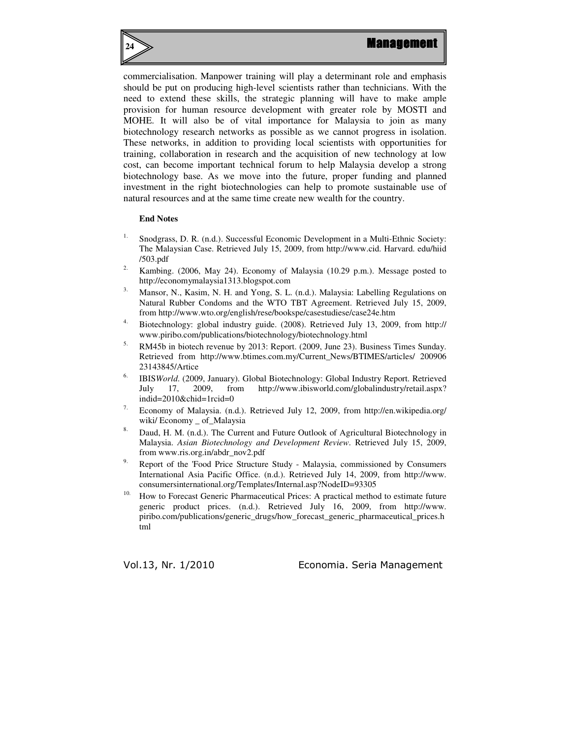

#### **End Notes**

**24**

- <sup>1.</sup> Snodgrass, D. R. (n.d.). Successful Economic Development in a Multi-Ethnic Society: The Malaysian Case. Retrieved July 15, 2009, from http://www.cid. Harvard. edu/hiid /503.pdf
- Kambing. (2006, May 24). Economy of Malaysia (10.29 p.m.). Message posted to http://economymalaysia1313.blogspot.com
- Mansor, N., Kasim, N. H. and Yong, S. L. (n.d.). Malaysia: Labelling Regulations on Natural Rubber Condoms and the WTO TBT Agreement. Retrieved July 15, 2009, from http://www.wto.org/english/rese/bookspe/casestudiese/case24e.htm
- 4. Biotechnology: global industry guide. (2008). Retrieved July 13, 2009, from http:// www.piribo.com/publications/biotechnology/biotechnology.html
- 5. RM45b in biotech revenue by 2013: Report. (2009, June 23). Business Times Sunday. Retrieved from http://www.btimes.com.my/Current\_News/BTIMES/articles/ 200906 23143845/Artice
- 6. IBIS*World*. (2009, January). Global Biotechnology: Global Industry Report. Retrieved July 17, 2009, from http://www.ibisworld.com/globalindustry/retail.aspx? indid=2010&chid=1rcid=0
- Economy of Malaysia. (n.d.). Retrieved July 12, 2009, from http://en.wikipedia.org/ wiki/ Economy \_ of\_Malaysia
- <sup>8.</sup> Daud, H. M. (n.d.). The Current and Future Outlook of Agricultural Biotechnology in Malaysia. *Asian Biotechnology and Development Review*. Retrieved July 15, 2009, from www.ris.org.in/abdr\_nov2.pdf
- 9. Report of the 'Food Price Structure Study Malaysia, commissioned by Consumers International Asia Pacific Office. (n.d.). Retrieved July 14, 2009, from http://www. consumersinternational.org/Templates/Internal.asp?NodeID=93305
- <sup>10.</sup> How to Forecast Generic Pharmaceutical Prices: A practical method to estimate future generic product prices. (n.d.). Retrieved July 16, 2009, from http://www. piribo.com/publications/generic\_drugs/how\_forecast\_generic\_pharmaceutical\_prices.h tml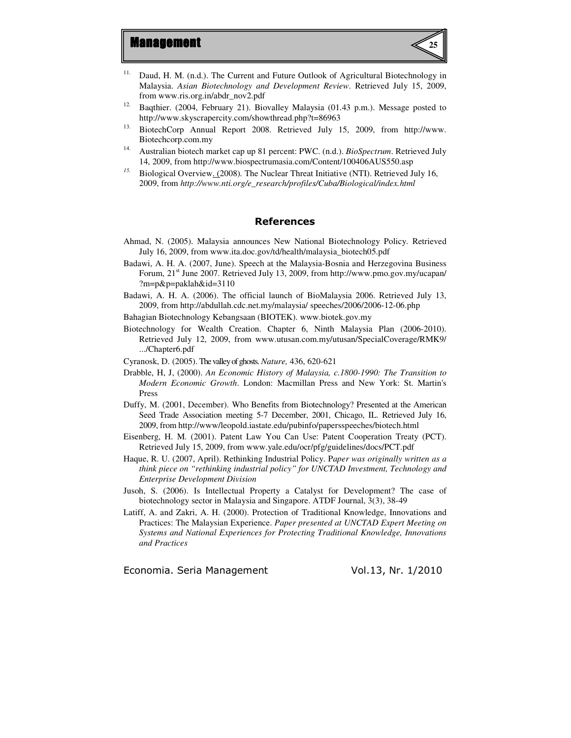

- <sup>11.</sup> Daud, H. M. (n.d.). The Current and Future Outlook of Agricultural Biotechnology in Malaysia. *Asian Biotechnology and Development Review*. Retrieved July 15, 2009, from www.ris.org.in/abdr\_nov2.pdf
- <sup>12.</sup> Baqthier. (2004, February 21). Biovalley Malaysia (01.43 p.m.). Message posted to http://www.skyscrapercity.com/showthread.php?t=86963
- <sup>13.</sup> BiotechCorp Annual Report 2008. Retrieved July 15, 2009, from http://www. Biotechcorp.com.my
- 14. Australian biotech market cap up 81 percent: PWC. (n.d.). *BioSpectrum*. Retrieved July 14, 2009, from http://www.biospectrumasia.com/Content/100406AUS550.asp
- *15.* Biological Overview. (2008)*.* The Nuclear Threat Initiative (NTI). Retrieved July 16, 2009, from *http://www.nti.org/e\_research/profiles/Cuba/Biological/index.html*

### References

- Ahmad, N. (2005). Malaysia announces New National Biotechnology Policy. Retrieved July 16, 2009, from www.ita.doc.gov/td/health/malaysia\_biotech05.pdf
- Badawi, A. H. A. (2007, June). Speech at the Malaysia-Bosnia and Herzegovina Business Forum, 21<sup>st</sup> June 2007. Retrieved July 13, 2009, from http://www.pmo.gov.my/ucapan/ ?m=p&p=paklah&id=3110
- Badawi, A. H. A. (2006). The official launch of BioMalaysia 2006. Retrieved July 13, 2009, from http://abdullah.cdc.net.my/malaysia/ speeches/2006/2006-12-06.php
- Bahagian Biotechnology Kebangsaan (BIOTEK). www.biotek.gov.my
- Biotechnology for Wealth Creation. Chapter 6, Ninth Malaysia Plan (2006-2010). Retrieved July 12, 2009, from www.utusan.com.my/utusan/SpecialCoverage/RMK9/ .../Chapter6.pdf
- Cyranosk, D. (2005). The valley of ghosts. *Nature,* 436, 620-621
- Drabble, H, J, (2000). *An Economic History of Malaysia, c.1800-1990: The Transition to Modern Economic Growth*. London: Macmillan Press and New York: St. Martin's Press
- Duffy, M. (2001, December). Who Benefits from Biotechnology? Presented at the American Seed Trade Association meeting 5-7 December, 2001, Chicago, IL. Retrieved July 16, 2009, from http://www/leopold.iastate.edu/pubinfo/papersspeeches/biotech.html
- Eisenberg, H. M. (2001). Patent Law You Can Use: Patent Cooperation Treaty (PCT). Retrieved July 15, 2009, from www.yale.edu/ocr/pfg/guidelines/docs/PCT.pdf
- Haque, R. U. (2007, April). Rethinking Industrial Policy. P*aper was originally written as a think piece on "rethinking industrial policy" for UNCTAD Investment, Technology and Enterprise Development Division*
- Jusoh, S. (2006). Is Intellectual Property a Catalyst for Development? The case of biotechnology sector in Malaysia and Singapore. ATDF Journal, 3(3), 38-49
- Latiff, A. and Zakri, A. H. (2000). Protection of Traditional Knowledge, Innovations and Practices: The Malaysian Experience. *Paper presented at UNCTAD Expert Meeting on Systems and National Experiences for Protecting Traditional Knowledge, Innovations and Practices*